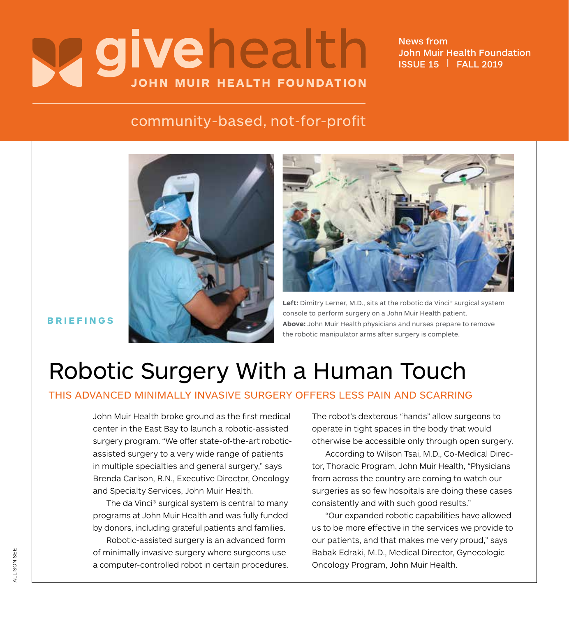# **y givehealth JOHN MUIR HEALTH FOUNDATION**

News from John Muir Health Foundation ISSUE 15 | FALL 2019

#### community-based, not-for-profit





**Left:** Dimitry Lerner, M.D., sits at the robotic da Vinci® surgical system console to perform surgery on a John Muir Health patient. **Above:** John Muir Health physicians and nurses prepare to remove the robotic manipulator arms after surgery is complete.

#### **BRIEFINGS**

## Robotic Surgery With a Human Touch

#### THIS ADVANCED MINIMALLY INVASIVE SURGERY OFFERS LESS PAIN AND SCARRING

John Muir Health broke ground as the first medical center in the East Bay to launch a robotic-assisted surgery program. "We offer state-of-the-art roboticassisted surgery to a very wide range of patients in multiple specialties and general surgery," says Brenda Carlson, R.N., Executive Director, Oncology and Specialty Services, John Muir Health.

The da Vinci® surgical system is central to many programs at John Muir Health and was fully funded by donors, including grateful patients and families.

Robotic-assisted surgery is an advanced form of minimally invasive surgery where surgeons use a computer-controlled robot in certain procedures. The robot's dexterous "hands" allow surgeons to operate in tight spaces in the body that would otherwise be accessible only through open surgery.

According to Wilson Tsai, M.D., Co-Medical Director, Thoracic Program, John Muir Health, "Physicians from across the country are coming to watch our surgeries as so few hospitals are doing these cases consistently and with such good results."

"Our expanded robotic capabilities have allowed us to be more effective in the services we provide to our patients, and that makes me very proud," says Babak Edraki, M.D., Medical Director, Gynecologic Oncology Program, John Muir Health.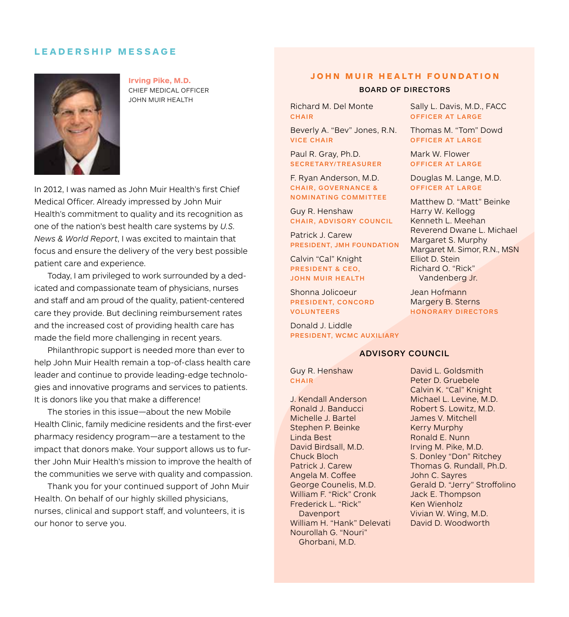#### **LEADERSHIP MESSAGE**



**Irving Pike, M.D.** CHIEF MEDICAL OFFICER JOHN MUIR HEALTH

In 2012, I was named as John Muir Health's first Chief Medical Officer. Already impressed by John Muir Health's commitment to quality and its recognition as one of the nation's best health care systems by *U.S. News & World Report*, I was excited to maintain that focus and ensure the delivery of the very best possible patient care and experience.

Today, I am privileged to work surrounded by a dedicated and compassionate team of physicians, nurses and staff and am proud of the quality, patient-centered care they provide. But declining reimbursement rates and the increased cost of providing health care has made the field more challenging in recent years.

Philanthropic support is needed more than ever to help John Muir Health remain a top-of-class health care leader and continue to provide leading-edge technologies and innovative programs and services to patients. It is donors like you that make a difference!

The stories in this issue—about the new Mobile Health Clinic, family medicine residents and the first-ever pharmacy residency program—are a testament to the impact that donors make. Your support allows us to further John Muir Health's mission to improve the health of the communities we serve with quality and compassion.

Thank you for your continued support of John Muir Health. On behalf of our highly skilled physicians, nurses, clinical and support staff, and volunteers, it is our honor to serve you.

#### **JOHN MUIR HEALTH FOUNDATION**

#### BOARD OF DIRECTORS

Richard M. Del Monte CHAIR

Beverly A. "Bev" Jones, R.N. VICE CHAIR

Paul R. Gray, Ph.D. SECRETARY/TREASURER

F. Ryan Anderson, M.D. CHAIR, GOVERNANCE & NOMINATING COMMITTEE

Guy R. Henshaw CHAIR, ADVISORY COUNCIL

Patrick J. Carew PRESIDENT, JMH FOUNDATION

Calvin "Cal" Knight PRESIDENT & CEO, JOHN MUIR HEALTH

Shonna Jolicoeur PRESIDENT, CONCORD VOLUNTEERS

Donald J. Liddle PRESIDENT, WCMC AUXILIARY

Guy R. Henshaw **CHAIR** 

J. Kendall Anderson Ronald J. Banducci Michelle J. Bartel Stephen P. Beinke Linda Best David Birdsall, M.D. Chuck Bloch Patrick J. Carew Angela M. Coffee George Counelis, M.D. William F. "Rick" Cronk Frederick L. "Rick" **Davenport** William H. "Hank" Delevati Nourollah G. "Nouri" Ghorbani, M.D.

Sally L. Davis, M.D., FACC OFFICER AT LARGE

Thomas M. "Tom" Dowd OFFICER AT LARGE

Mark W. Flower OFFICER AT LARGE

Douglas M. Lange, M.D. OFFICER AT LARGE

Matthew D. "Matt" Beinke Harry W. Kellogg Kenneth L. Meehan Reverend Dwane L. Michael Margaret S. Murphy Margaret M. Simor, R.N., MSN Elliot D. Stein Richard O. "Rick" Vandenberg Jr.

Jean Hofmann Margery B. Sterns HONORARY DIRECTORS

ADVISORY COUNCIL

David L. Goldsmith Peter D. Gruebele Calvin K. "Cal" Knight Michael L. Levine, M.D. Robert S. Lowitz, M.D. James V. Mitchell Kerry Murphy Ronald E. Nunn Irving M. Pike, M.D. S. Donley "Don" Ritchey Thomas G. Rundall, Ph.D. John C. Sayres Gerald D. "Jerry" Stroffolino Jack E. Thompson Ken Wienholz Vivian W. Wing, M.D. David D. Woodworth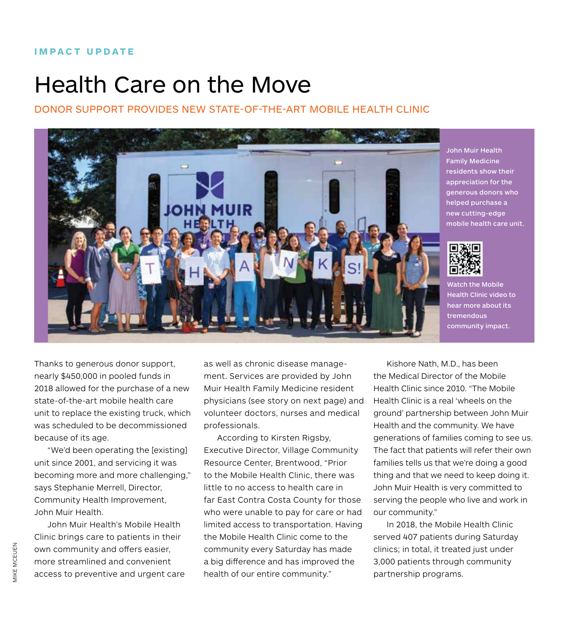## Health Care on the Move

#### DONOR SUPPORT PROVIDES NEW STATE-OF-THE-ART MOBILE HEALTH CLINIC



John Muir Health Family Medicine residents show their appreciation for the generous donors who helped purchase a new cutting-edge mobile health care unit.



Watch the Mobile Health Clinic video to hear more about its tremendous community impact.

Thanks to generous donor support, nearly \$450,000 in pooled funds in 2018 allowed for the purchase of a new state-of-the-art mobile health care unit to replace the existing truck, which was scheduled to be decommissioned because of its age.

"We'd been operating the [existing] unit since 2001, and servicing it was becoming more and more challenging," says Stephanie Merrell, Director, Community Health Improvement, John Muir Health.

John Muir Health's Mobile Health Clinic brings care to patients in their own community and offers easier, more streamlined and convenient access to preventive and urgent care as well as chronic disease management. Services are provided by John Muir Health Family Medicine resident physicians (see story on next page) and volunteer doctors, nurses and medical professionals.

According to Kirsten Rigsby, Executive Director, Village Community Resource Center, Brentwood, "Prior to the Mobile Health Clinic, there was little to no access to health care in far East Contra Costa County for those who were unable to pay for care or had limited access to transportation. Having the Mobile Health Clinic come to the community every Saturday has made a big difference and has improved the health of our entire community."

Kishore Nath, M.D., has been the Medical Director of the Mobile Health Clinic since 2010. "The Mobile Health Clinic is a real 'wheels on the ground' partnership between John Muir Health and the community. We have generations of families coming to see us. The fact that patients will refer their own families tells us that we're doing a good thing and that we need to keep doing it. John Muir Health is very committed to serving the people who live and work in our community."

In 2018, the Mobile Health Clinic served 407 patients during Saturday clinics; in total, it treated just under 3,000 patients through community partnership programs.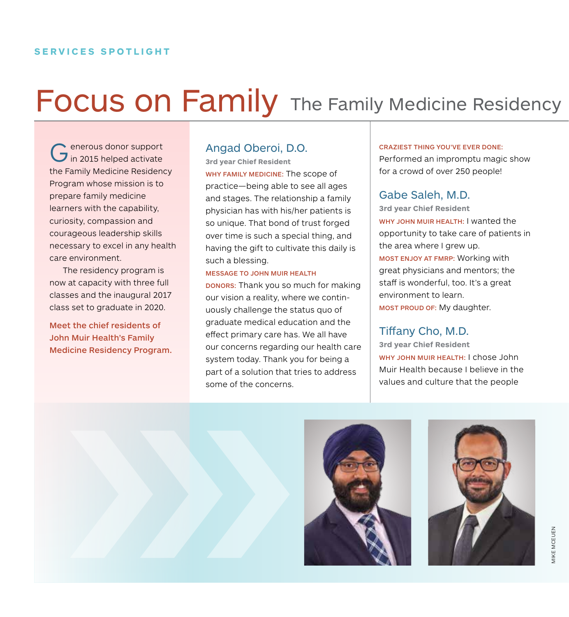## Focus on Family The Family Medicine Residency

Generous donor support<br>
in 2015 helped activate the Family Medicine Residency Program whose mission is to prepare family medicine learners with the capability, curiosity, compassion and courageous leadership skills necessary to excel in any health care environment.

The residency program is now at capacity with three full classes and the inaugural 2017 class set to graduate in 2020.

Meet the chief residents of John Muir Health's Family Medicine Residency Program.

#### Angad Oberoi, D.O.

**3rd year Chief Resident** WHY FAMILY MEDICINE: The scope of practice—being able to see all ages and stages. The relationship a family physician has with his/her patients is so unique. That bond of trust forged over time is such a special thing, and having the gift to cultivate this daily is such a blessing.

#### MESSAGE TO JOHN MUIR HEALTH

DONORS: Thank you so much for making our vision a reality, where we continuously challenge the status quo of graduate medical education and the effect primary care has. We all have our concerns regarding our health care system today. Thank you for being a part of a solution that tries to address some of the concerns.

#### CRAZIEST THING YOU'VE EVER DONE:

Performed an impromptu magic show for a crowd of over 250 people!

#### Gabe Saleh, M.D.

**3rd year Chief Resident** WHY JOHN MUIR HEALTH: I wanted the opportunity to take care of patients in the area where I grew up. MOST ENJOY AT FMRP: Working with great physicians and mentors; the staff is wonderful, too. It's a great environment to learn. MOST PROUD OF: My daughter.

#### Tiffany Cho, M.D.

**3rd year Chief Resident** WHY JOHN MUIR HEALTH: I chose John Muir Health because I believe in the values and culture that the people



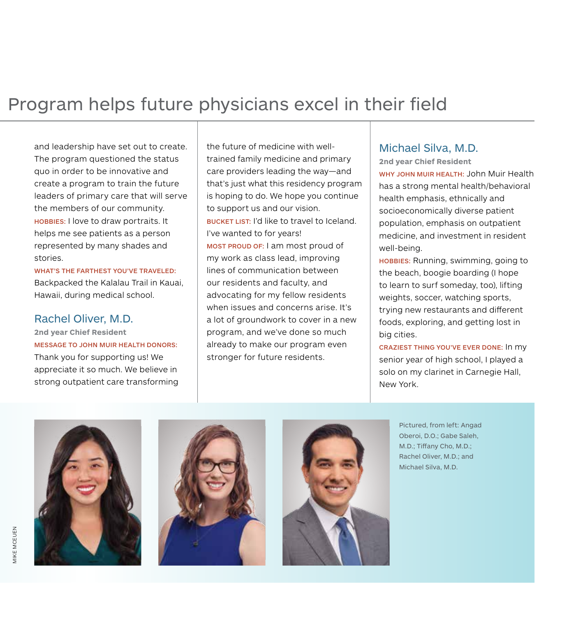### Program helps future physicians excel in their field

and leadership have set out to create. The program questioned the status quo in order to be innovative and create a program to train the future leaders of primary care that will serve the members of our community. HOBBIES: I love to draw portraits. It helps me see patients as a person represented by many shades and stories.

WHAT'S THE FARTHEST YOU'VE TRAVELED: Backpacked the Kalalau Trail in Kauai, Hawaii, during medical school.

#### Rachel Oliver, M.D.

**2nd year Chief Resident**

MESSAGE TO JOHN MUIR HEALTH DONORS:

Thank you for supporting us! We appreciate it so much. We believe in strong outpatient care transforming the future of medicine with welltrained family medicine and primary care providers leading the way—and that's just what this residency program is hoping to do. We hope you continue to support us and our vision. BUCKET LIST: I'd like to travel to Iceland. I've wanted to for years! MOST PROUD OF: I am most proud of my work as class lead, improving lines of communication between our residents and faculty, and advocating for my fellow residents when issues and concerns arise. It's a lot of groundwork to cover in a new program, and we've done so much already to make our program even stronger for future residents.

#### Michael Silva, M.D.

**2nd year Chief Resident** WHY JOHN MUIR HEALTH: John Muir Health has a strong mental health/behavioral health emphasis, ethnically and socioeconomically diverse patient population, emphasis on outpatient medicine, and investment in resident well-being.

HOBBIES: Running, swimming, going to the beach, boogie boarding (I hope to learn to surf someday, too), lifting weights, soccer, watching sports, trying new restaurants and different foods, exploring, and getting lost in big cities.

CRAZIEST THING YOU'VE EVER DONE: In my senior year of high school, I played a solo on my clarinet in Carnegie Hall, New York.







Pictured, from left: Angad Oberoi, D.O.; Gabe Saleh, M.D.; Tiffany Cho, M.D.; Rachel Oliver, M.D.; and Michael Silva, M.D.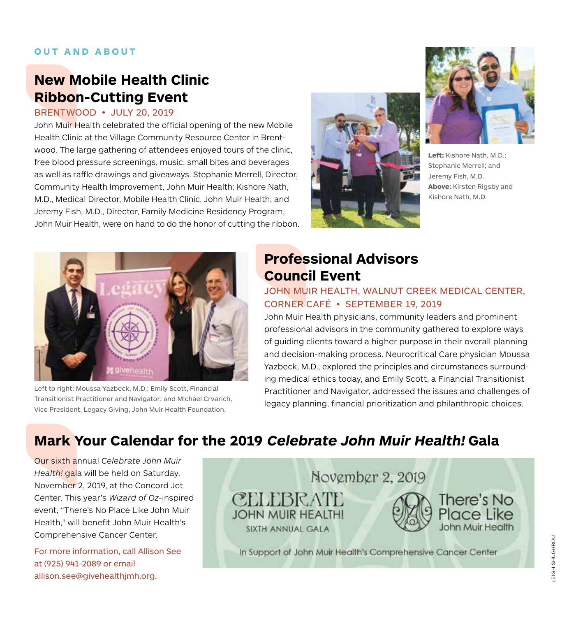#### **OUT AND ABOUT**

#### **New Mobile Health Clinic Ribbon-Cutting Event**

BRENTWOOD • JULY 20, 2019

John Muir Health celebrated the official opening of the new Mobile Health Clinic at the Village Community Resource Center in Brentwood. The large gathering of attendees enjoyed tours of the clinic, free blood pressure screenings, music, small bites and beverages as well as raffle drawings and giveaways. Stephanie Merrell, Director, Community Health Improvement, John Muir Health; Kishore Nath, M.D., Medical Director, Mobile Health Clinic, John Muir Health; and Jeremy Fish, M.D., Director, Family Medicine Residency Program, John Muir Health, were on hand to do the honor of cutting the ribbon.





**Left:** Kishore Nath, M.D.; Stephanie Merrell; and Jeremy Fish, M.D. **Above:** Kirsten Rigsby and Kishore Nath, M.D.



Left to right: Moussa Yazbeck, M.D.; Emily Scott, Financial Transitionist Practitioner and Navigator; and Michael Crvarich, Vice President, Legacy Giving, John Muir Health Foundation.

### **Professional Advisors Council Event**

JOHN MUIR HEALTH, WALNUT CREEK MEDICAL CENTER, CORNER CAFÉ • SEPTEMBER 19, 2019

John Muir Health physicians, community leaders and prominent professional advisors in the community gathered to explore ways of guiding clients toward a higher purpose in their overall planning and decision-making process. Neurocritical Care physician Moussa Yazbeck, M.D., explored the principles and circumstances surrounding medical ethics today, and Emily Scott, a Financial Transitionist Practitioner and Navigator, addressed the issues and challenges of legacy planning, financial prioritization and philanthropic choices.

### **Mark Your Calendar for the 2019 Celebrate John Muir Health! Gala**

Our sixth annual *Celebrate John Muir Health!* gala will be held on Saturday, November 2, 2019, at the Concord Jet Center. This year's *Wizard of Oz*-inspired event, "There's No Place Like John Muir Health," will benefit John Muir Health's Comprehensive Cancer Center.

For more information, call Allison See at (925) 941-2089 or email allison.see@givehealthjmh.org.

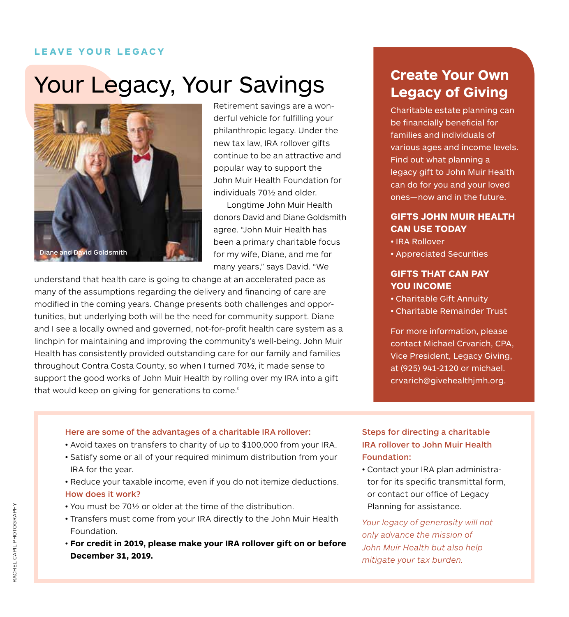#### **LEAVE YOUR LEGACY**

## Your Legacy, Your Savings

![](_page_6_Picture_2.jpeg)

Retirement savings are a wonderful vehicle for fulfilling your philanthropic legacy. Under the new tax law, IRA rollover gifts continue to be an attractive and popular way to support the John Muir Health Foundation for individuals 70½ and older.

Longtime John Muir Health donors David and Diane Goldsmith agree. "John Muir Health has been a primary charitable focus for my wife, Diane, and me for many years," says David. "We

understand that health care is going to change at an accelerated pace as many of the assumptions regarding the delivery and financing of care are modified in the coming years. Change presents both challenges and opportunities, but underlying both will be the need for community support. Diane and I see a locally owned and governed, not-for-profit health care system as a linchpin for maintaining and improving the community's well-being. John Muir Health has consistently provided outstanding care for our family and families throughout Contra Costa County, so when I turned 70½, it made sense to support the good works of John Muir Health by rolling over my IRA into a gift that would keep on giving for generations to come."

#### **Create Your Own Legacy of Giving**

Charitable estate planning can be financially beneficial for families and individuals of various ages and income levels. Find out what planning a legacy gift to John Muir Health can do for you and your loved ones—now and in the future.

#### **GIFTS JOHN MUIR HEALTH CAN USE TODAY**

- IRA Rollover
- Appreciated Securities

#### **GIFTS THAT CAN PAY YOU INCOME**

- Charitable Gift Annuity
- Charitable Remainder Trust

For more information, please contact Michael Crvarich, CPA, Vice President, Legacy Giving, at (925) 941-2120 or michael. crvarich@givehealthjmh.org.

#### Here are some of the advantages of a charitable IRA rollover:

- Avoid taxes on transfers to charity of up to \$100,000 from your IRA.
- Satisfy some or all of your required minimum distribution from your IRA for the year.
- Reduce your taxable income, even if you do not itemize deductions. How does it work?
- You must be 70½ or older at the time of the distribution.
- Transfers must come from your IRA directly to the John Muir Health Foundation.
- **For credit in 2019, please make your IRA rollover gift on or before December 31, 2019.**

#### Steps for directing a charitable IRA rollover to John Muir Health Foundation:

• Contact your IRA plan administrator for its specific transmittal form, or contact our office of Legacy Planning for assistance.

*Your legacy of generosity will not only advance the mission of John Muir Health but also help mitigate your tax burden.*